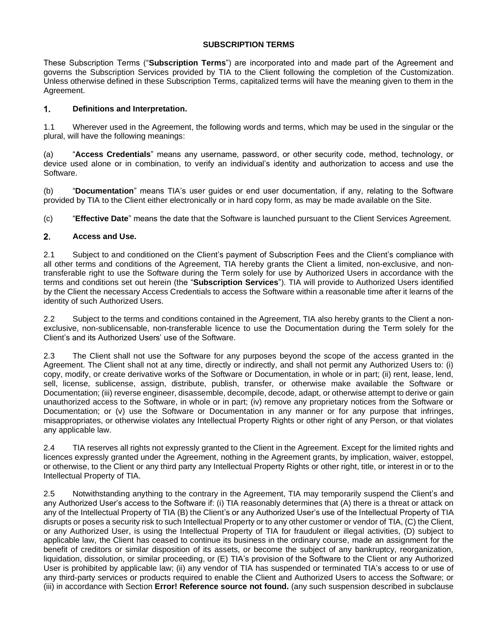## **SUBSCRIPTION TERMS**

These Subscription Terms ("**Subscription Terms**") are incorporated into and made part of the Agreement and governs the Subscription Services provided by TIA to the Client following the completion of the Customization. Unless otherwise defined in these Subscription Terms, capitalized terms will have the meaning given to them in the Agreement.

## 1. **Definitions and Interpretation.**

1.1 Wherever used in the Agreement, the following words and terms, which may be used in the singular or the plural, will have the following meanings:

(a) "**Access Credentials**" means any username, password, or other security code, method, technology, or device used alone or in combination, to verify an individual's identity and authorization to access and use the Software.

(b) "**Documentation**" means TIA's user guides or end user documentation, if any, relating to the Software provided by TIA to the Client either electronically or in hard copy form, as may be made available on the Site.

(c) "**Effective Date**" means the date that the Software is launched pursuant to the Client Services Agreement.

## $2.$ **Access and Use.**

2.1 Subject to and conditioned on the Client's payment of Subscription Fees and the Client's compliance with all other terms and conditions of the Agreement, TIA hereby grants the Client a limited, non-exclusive, and nontransferable right to use the Software during the Term solely for use by Authorized Users in accordance with the terms and conditions set out herein (the "**Subscription Services**"). TIA will provide to Authorized Users identified by the Client the necessary Access Credentials to access the Software within a reasonable time after it learns of the identity of such Authorized Users.

2.2 Subject to the terms and conditions contained in the Agreement, TIA also hereby grants to the Client a nonexclusive, non-sublicensable, non-transferable licence to use the Documentation during the Term solely for the Client's and its Authorized Users' use of the Software.

2.3 The Client shall not use the Software for any purposes beyond the scope of the access granted in the Agreement. The Client shall not at any time, directly or indirectly, and shall not permit any Authorized Users to: (i) copy, modify, or create derivative works of the Software or Documentation, in whole or in part; (ii) rent, lease, lend, sell, license, sublicense, assign, distribute, publish, transfer, or otherwise make available the Software or Documentation; (iii) reverse engineer, disassemble, decompile, decode, adapt, or otherwise attempt to derive or gain unauthorized access to the Software, in whole or in part; (iv) remove any proprietary notices from the Software or Documentation; or (v) use the Software or Documentation in any manner or for any purpose that infringes, misappropriates, or otherwise violates any Intellectual Property Rights or other right of any Person, or that violates any applicable law.

2.4 TIA reserves all rights not expressly granted to the Client in the Agreement. Except for the limited rights and licences expressly granted under the Agreement, nothing in the Agreement grants, by implication, waiver, estoppel, or otherwise, to the Client or any third party any Intellectual Property Rights or other right, title, or interest in or to the Intellectual Property of TIA.

2.5 Notwithstanding anything to the contrary in the Agreement, TIA may temporarily suspend the Client's and any Authorized User's access to the Software if: (i) TIA reasonably determines that (A) there is a threat or attack on any of the Intellectual Property of TIA (B) the Client's or any Authorized User's use of the Intellectual Property of TIA disrupts or poses a security risk to such Intellectual Property or to any other customer or vendor of TIA, (C) the Client, or any Authorized User, is using the Intellectual Property of TIA for fraudulent or illegal activities, (D) subject to applicable law, the Client has ceased to continue its business in the ordinary course, made an assignment for the benefit of creditors or similar disposition of its assets, or become the subject of any bankruptcy, reorganization, liquidation, dissolution, or similar proceeding, or (E) TIA's provision of the Software to the Client or any Authorized User is prohibited by applicable law; (ii) any vendor of TIA has suspended or terminated TIA's access to or use of any third-party services or products required to enable the Client and Authorized Users to access the Software; or (iii) in accordance with Section **Error! Reference source not found.** (any such suspension described in subclause